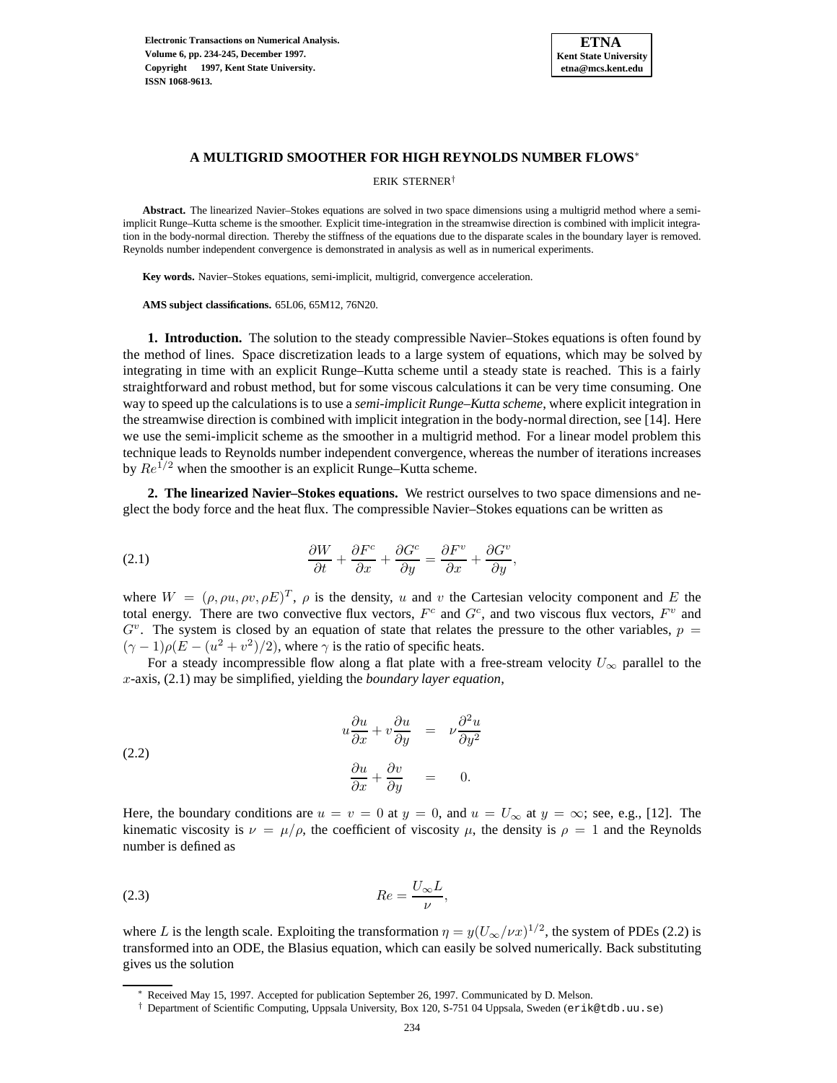

# **A MULTIGRID SMOOTHER FOR HIGH REYNOLDS NUMBER FLOWS**<sup>∗</sup>

ERIK STERNER†

**Abstract.** The linearized Navier–Stokes equations are solved in two space dimensions using a multigrid method where a semiimplicit Runge–Kutta scheme is the smoother. Explicit time-integration in the streamwise direction is combined with implicit integration in the body-normal direction. Thereby the stiffness of the equations due to the disparate scales in the boundary layer is removed. Reynolds number independent convergence is demonstrated in analysis as well as in numerical experiments.

**Key words.** Navier–Stokes equations, semi-implicit, multigrid, convergence acceleration.

**AMS subject classifications.** 65L06, 65M12, 76N20.

**1. Introduction.** The solution to the steady compressible Navier–Stokes equations is often found by the method of lines. Space discretization leads to a large system of equations, which may be solved by integrating in time with an explicit Runge–Kutta scheme until a steady state is reached. This is a fairly straightforward and robust method, but for some viscous calculations it can be very time consuming. One way to speed up the calculations is to use a *semi-implicit Runge–Kutta scheme*, where explicit integration in the streamwise direction is combined with implicit integration in the body-normal direction, see [14]. Here we use the semi-implicit scheme as the smoother in a multigrid method. For a linear model problem this technique leads to Reynolds number independent convergence, whereas the number of iterations increases by  $Re^{1/2}$  when the smoother is an explicit Runge–Kutta scheme.

**2. The linearized Navier–Stokes equations.** We restrict ourselves to two space dimensions and neglect the body force and the heat flux. The compressible Navier–Stokes equations can be written as

(2.1) 
$$
\frac{\partial W}{\partial t} + \frac{\partial F^c}{\partial x} + \frac{\partial G^c}{\partial y} = \frac{\partial F^v}{\partial x} + \frac{\partial G^v}{\partial y},
$$

where  $W = (\rho, \rho u, \rho v, \rho E)^T$ ,  $\rho$  is the density, u and v the Cartesian velocity component and E the total energy. There are two convective flux vectors,  $F^c$  and  $G^c$ , and two viscous flux vectors,  $F^v$  and  $G<sup>v</sup>$ . The system is closed by an equation of state that relates the pressure to the other variables,  $p =$  $(\gamma - 1)\rho(E - (u^2 + v^2)/2)$ , where  $\gamma$  is the ratio of specific heats.

For a steady incompressible flow along a flat plate with a free-stream velocity  $U_{\infty}$  parallel to the x-axis, (2.1) may be simplified, yielding the *boundary layer equation*,

(2.2) 
$$
u\frac{\partial u}{\partial x} + v\frac{\partial u}{\partial y} = \nu \frac{\partial^2 u}{\partial y^2}
$$

$$
\frac{\partial u}{\partial x} + \frac{\partial v}{\partial y} = 0.
$$

Here, the boundary conditions are  $u = v = 0$  at  $y = 0$ , and  $u = U_{\infty}$  at  $y = \infty$ ; see, e.g., [12]. The kinematic viscosity is  $\nu = \mu/\rho$ , the coefficient of viscosity  $\mu$ , the density is  $\rho = 1$  and the Reynolds number is defined as

$$
(2.3) \t\t Re = \frac{U_{\infty}L}{\nu},
$$

where L is the length scale. Exploiting the transformation  $\eta = y(U_{\infty}/\nu x)^{1/2}$ , the system of PDEs (2.2) is transformed into an ODE, the Blasius equation, which can easily be solved numerically. Back substituting gives us the solution

Received May 15, 1997. Accepted for publication September 26, 1997. Communicated by D. Melson.

<sup>†</sup> Department of Scientific Computing, Uppsala University, Box 120, S-751 04 Uppsala, Sweden (erik@tdb.uu.se)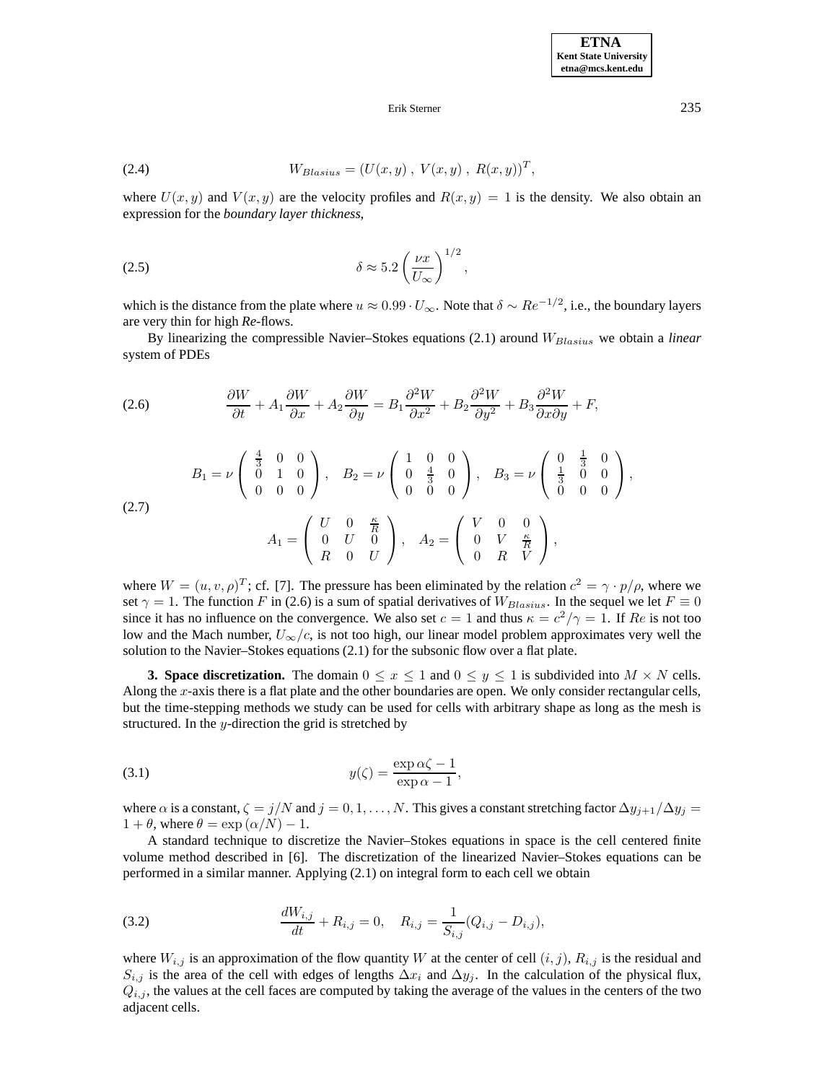### Erik Sterner 235

(2.4) 
$$
W_{Blasius} = (U(x, y), V(x, y), R(x, y))^T,
$$

where  $U(x, y)$  and  $V(x, y)$  are the velocity profiles and  $R(x, y)=1$  is the density. We also obtain an expression for the *boundary layer thickness*,

$$
\delta \approx 5.2 \left(\frac{\nu x}{U_{\infty}}\right)^{1/2},
$$

which is the distance from the plate where  $u \approx 0.99 \cdot U_{\infty}$ . Note that  $\delta \sim Re^{-1/2}$ , i.e., the boundary layers are very thin for high *Re*-flows.

By linearizing the compressible Navier–Stokes equations (2.1) around  $W_{Blasius}$  we obtain a *linear* system of PDEs

(2.6) 
$$
\frac{\partial W}{\partial t} + A_1 \frac{\partial W}{\partial x} + A_2 \frac{\partial W}{\partial y} = B_1 \frac{\partial^2 W}{\partial x^2} + B_2 \frac{\partial^2 W}{\partial y^2} + B_3 \frac{\partial^2 W}{\partial x \partial y} + F,
$$
  
\n
$$
B_1 = \nu \begin{pmatrix} \frac{4}{3} & 0 & 0 \\ 0 & 1 & 0 \\ 0 & 0 & 0 \end{pmatrix}, \quad B_2 = \nu \begin{pmatrix} 1 & 0 & 0 \\ 0 & \frac{4}{3} & 0 \\ 0 & 0 & 0 \end{pmatrix}, \quad B_3 = \nu \begin{pmatrix} 0 & \frac{1}{3} & 0 \\ \frac{1}{3} & 0 & 0 \\ 0 & 0 & 0 \end{pmatrix},
$$
  
\n(2.7) 
$$
A_1 = \begin{pmatrix} U & 0 & \frac{\kappa}{R} \\ 0 & U & 0 \\ R & 0 & U \end{pmatrix}, \quad A_2 = \begin{pmatrix} V & 0 & 0 \\ 0 & V & \frac{\kappa}{R} \\ 0 & R & V \end{pmatrix},
$$

where  $W = (u, v, \rho)^T$ ; cf. [7]. The pressure has been eliminated by the relation  $c^2 = \gamma \cdot p/\rho$ , where we set  $\gamma = 1$ . The function F in (2.6) is a sum of spatial derivatives of  $W_{Blasius}$ . In the sequel we let  $F \equiv 0$ since it has no influence on the convergence. We also set  $c = 1$  and thus  $\kappa = c^2/\gamma = 1$ . If Re is not too low and the Mach number,  $U_{\infty}/c$ , is not too high, our linear model problem approximates very well the solution to the Navier–Stokes equations (2.1) for the subsonic flow over a flat plate.

**3. Space discretization.** The domain  $0 \le x \le 1$  and  $0 \le y \le 1$  is subdivided into  $M \times N$  cells. Along the  $x$ -axis there is a flat plate and the other boundaries are open. We only consider rectangular cells, but the time-stepping methods we study can be used for cells with arbitrary shape as long as the mesh is structured. In the  $y$ -direction the grid is stretched by

(3.1) 
$$
y(\zeta) = \frac{\exp \alpha \zeta - 1}{\exp \alpha - 1},
$$

where  $\alpha$  is a constant,  $\zeta = j/N$  and  $j = 0, 1, \ldots, N$ . This gives a constant stretching factor  $\Delta y_{j+1}/\Delta y_j =$  $1 + \theta$ , where  $\theta = \exp(\alpha/N) - 1$ .

A standard technique to discretize the Navier–Stokes equations in space is the cell centered finite volume method described in [6]. The discretization of the linearized Navier–Stokes equations can be performed in a similar manner. Applying (2.1) on integral form to each cell we obtain

(3.2) 
$$
\frac{dW_{i,j}}{dt} + R_{i,j} = 0, \quad R_{i,j} = \frac{1}{S_{i,j}}(Q_{i,j} - D_{i,j}),
$$

where  $W_{i,j}$  is an approximation of the flow quantity W at the center of cell  $(i,j)$ ,  $R_{i,j}$  is the residual and  $S_{i,j}$  is the area of the cell with edges of lengths  $\Delta x_i$  and  $\Delta y_j$ . In the calculation of the physical flux,  $Q_{i,j}$ , the values at the cell faces are computed by taking the average of the values in the centers of the two adjacent cells.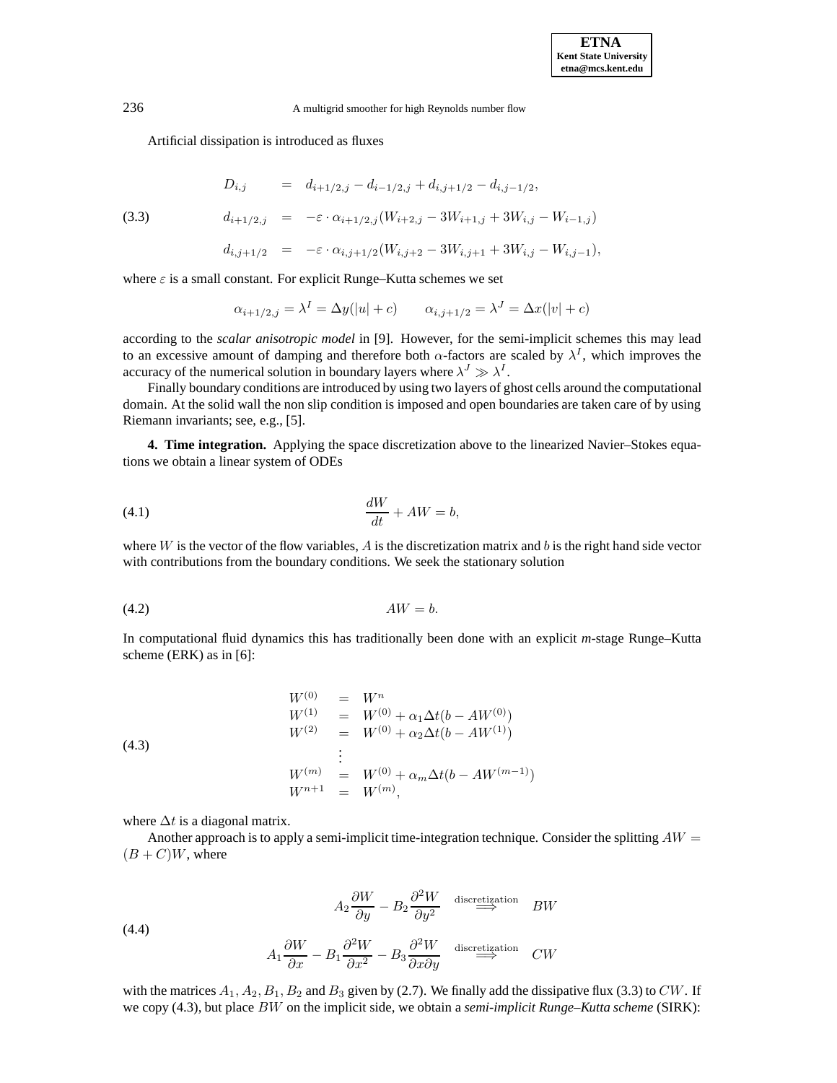Artificial dissipation is introduced as fluxes

$$
D_{i,j} = d_{i+1/2,j} - d_{i-1/2,j} + d_{i,j+1/2} - d_{i,j-1/2},
$$
  

$$
d_{i+1/2,j} = -\varepsilon \cdot \alpha_{i+1/2,j} (W_{i+2,j} - 3W_{i+1,j} + 3W_{i,j} - W_{i-1,j})
$$

$$
(3.3)
$$

$$
d_{i,j+1/2}\quad =\quad -\varepsilon\cdot \alpha_{i,j+1/2}(W_{i,j+2}-3W_{i,j+1}+3W_{i,j}-W_{i,j-1}),
$$

where  $\varepsilon$  is a small constant. For explicit Runge–Kutta schemes we set

$$
\alpha_{i+1/2,j} = \lambda^I = \Delta y(|u| + c) \qquad \alpha_{i,j+1/2} = \lambda^J = \Delta x(|v| + c)
$$

according to the *scalar anisotropic model* in [9]. However, for the semi-implicit schemes this may lead to an excessive amount of damping and therefore both  $\alpha$ -factors are scaled by  $\lambda^I$ , which improves the accuracy of the numerical solution in boundary layers where  $\lambda^J \gg \lambda^I$ .

Finally boundary conditions are introduced by using two layers of ghost cells around the computational domain. At the solid wall the non slip condition is imposed and open boundaries are taken care of by using Riemann invariants; see, e.g., [5].

**4. Time integration.** Applying the space discretization above to the linearized Navier–Stokes equations we obtain a linear system of ODEs

$$
\frac{dW}{dt} + AW = b,
$$

where  $W$  is the vector of the flow variables,  $A$  is the discretization matrix and  $b$  is the right hand side vector with contributions from the boundary conditions. We seek the stationary solution

$$
(4.2) \t\t\tAW = b.
$$

In computational fluid dynamics this has traditionally been done with an explicit *m*-stage Runge–Kutta scheme (ERK) as in [6]:

(4.3)  
\n
$$
W^{(0)} = W^n
$$
\n
$$
W^{(1)} = W^{(0)} + \alpha_1 \Delta t (b - AW^{(0)})
$$
\n
$$
W^{(2)} = W^{(0)} + \alpha_2 \Delta t (b - AW^{(1)})
$$
\n
$$
\vdots
$$
\n
$$
W^{(m)} = W^{(0)} + \alpha_m \Delta t (b - AW^{(m-1)})
$$
\n
$$
W^{n+1} = W^{(m)},
$$

where  $\Delta t$  is a diagonal matrix.

Another approach is to apply a semi-implicit time-integration technique. Consider the splitting  $AW =$  $(B+C)W$ , where

(4.4)  
\n
$$
A_{2} \frac{\partial W}{\partial y} - B_{2} \frac{\partial^{2} W}{\partial y^{2}} \stackrel{\text{discretization}}{\implies} BW
$$
\n
$$
A_{1} \frac{\partial W}{\partial x} - B_{1} \frac{\partial^{2} W}{\partial x^{2}} - B_{3} \frac{\partial^{2} W}{\partial x \partial y} \stackrel{\text{discretization}}{\implies} CW
$$

with the matrices  $A_1, A_2, B_1, B_2$  and  $B_3$  given by (2.7). We finally add the dissipative flux (3.3) to CW. If we copy (4.3), but place BW on the implicit side, we obtain a *semi-implicit Runge–Kutta scheme* (SIRK):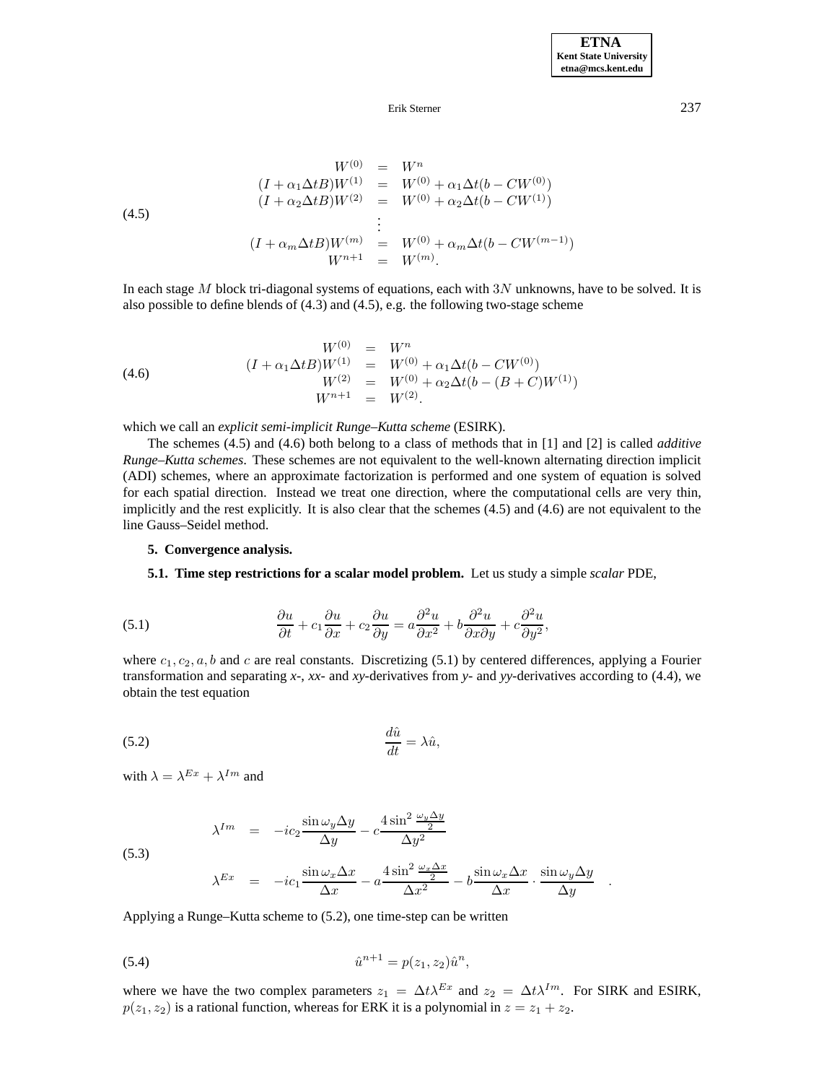## Erik Sterner 237

(4.5)  
\n
$$
W^{(0)} = W^n
$$
\n
$$
(I + \alpha_1 \Delta t B)W^{(1)} = W^{(0)} + \alpha_1 \Delta t (b - CW^{(0)})
$$
\n
$$
(I + \alpha_2 \Delta t B)W^{(2)} = W^{(0)} + \alpha_2 \Delta t (b - CW^{(1)})
$$
\n
$$
\vdots
$$
\n
$$
(I + \alpha_m \Delta t B)W^{(m)} = W^{(0)} + \alpha_m \Delta t (b - CW^{(m-1)})
$$
\n
$$
W^{n+1} = W^{(m)}.
$$

In each stage M block tri-diagonal systems of equations, each with  $3N$  unknowns, have to be solved. It is also possible to define blends of (4.3) and (4.5), e.g. the following two-stage scheme

(4.6) 
$$
W^{(0)} = W^n
$$

$$
(I + \alpha_1 \Delta t B)W^{(1)} = W^{(0)} + \alpha_1 \Delta t (b - CW^{(0)})
$$

$$
W^{(2)} = W^{(0)} + \alpha_2 \Delta t (b - (B + C)W^{(1)})
$$

$$
W^{n+1} = W^{(2)}.
$$

which we call an *explicit semi-implicit Runge–Kutta scheme* (ESIRK).

The schemes (4.5) and (4.6) both belong to a class of methods that in [1] and [2] is called *additive Runge–Kutta schemes*. These schemes are not equivalent to the well-known alternating direction implicit (ADI) schemes, where an approximate factorization is performed and one system of equation is solved for each spatial direction. Instead we treat one direction, where the computational cells are very thin, implicitly and the rest explicitly. It is also clear that the schemes (4.5) and (4.6) are not equivalent to the line Gauss–Seidel method.

## **5. Convergence analysis.**

# **5.1. Time step restrictions for a scalar model problem.** Let us study a simple *scalar* PDE,

(5.1) 
$$
\frac{\partial u}{\partial t} + c_1 \frac{\partial u}{\partial x} + c_2 \frac{\partial u}{\partial y} = a \frac{\partial^2 u}{\partial x^2} + b \frac{\partial^2 u}{\partial x \partial y} + c \frac{\partial^2 u}{\partial y^2},
$$

where  $c_1, c_2, a, b$  and c are real constants. Discretizing (5.1) by centered differences, applying a Fourier transformation and separating *x*-, *xx*- and *xy*-derivatives from *y*- and *yy*-derivatives according to (4.4), we obtain the test equation

$$
\frac{d\hat{u}}{dt} = \lambda \hat{u},
$$

with  $\lambda = \lambda^{Ex} + \lambda^{Im}$  and

(5.3)

$$
\lambda^{Im} = -ic_2 \frac{\sin \omega_y \Delta y}{\Delta y} - c \frac{4 \sin^2 \frac{\omega_y \Delta y}{2}}{\Delta y^2}
$$

$$
\lambda^{Ex} = -ic_1 \frac{\sin \omega_x \Delta x}{\Delta x} - a \frac{4 \sin^2 \frac{\omega_x \Delta x}{2}}{\Delta x^2} - b \frac{\sin \omega_x \Delta x}{\Delta x} \cdot \frac{\sin \omega_y \Delta y}{\Delta y} .
$$

Applying a Runge–Kutta scheme to (5.2), one time-step can be written

(5.4) 
$$
\hat{u}^{n+1} = p(z_1, z_2)\hat{u}^n,
$$

where we have the two complex parameters  $z_1 = \Delta t \lambda^{Ex}$  and  $z_2 = \Delta t \lambda^{Im}$ . For SIRK and ESIRK,  $p(z_1, z_2)$  is a rational function, whereas for ERK it is a polynomial in  $z = z_1 + z_2$ .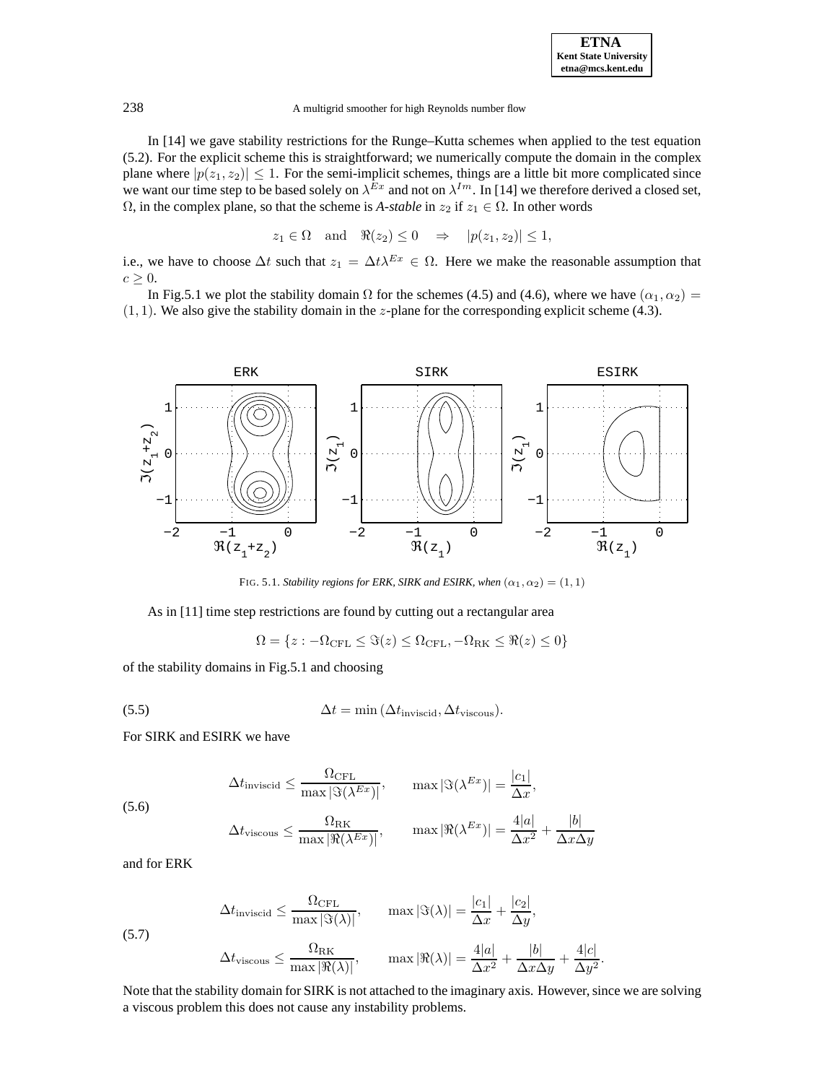In [14] we gave stability restrictions for the Runge–Kutta schemes when applied to the test equation (5.2). For the explicit scheme this is straightforward; we numerically compute the domain in the complex plane where  $|p(z_1, z_2)| \leq 1$ . For the semi-implicit schemes, things are a little bit more complicated since we want our time step to be based solely on  $\lambda^{Ex}$  and not on  $\lambda^{Im}$ . In [14] we therefore derived a closed set,  $\Omega$ , in the complex plane, so that the scheme is *A-stable* in  $z_2$  if  $z_1 \in \Omega$ . In other words

$$
z_1 \in \Omega
$$
 and  $\Re(z_2) \leq 0 \Rightarrow |p(z_1, z_2)| \leq 1$ ,

i.e., we have to choose  $\Delta t$  such that  $z_1 = \Delta t \lambda^{Ex} \in \Omega$ . Here we make the reasonable assumption that  $c \geq 0$ .

In Fig.5.1 we plot the stability domain  $\Omega$  for the schemes (4.5) and (4.6), where we have  $(\alpha_1, \alpha_2)$  =  $(1, 1)$ . We also give the stability domain in the *z*-plane for the corresponding explicit scheme (4.3).



FIG. 5.1. *Stability regions for ERK, SIRK and ESIRK, when*  $(\alpha_1, \alpha_2) = (1, 1)$ 

As in [11] time step restrictions are found by cutting out a rectangular area

$$
\Omega = \{ z : -\Omega_{\text{CFL}} \leq \Im(z) \leq \Omega_{\text{CFL}}, -\Omega_{\text{RK}} \leq \Re(z) \leq 0 \}
$$

of the stability domains in Fig.5.1 and choosing

(5.5) 
$$
\Delta t = \min (\Delta t_{\text{inviscid}}, \Delta t_{\text{viscous}}).
$$

For SIRK and ESIRK we have

(5.6)  
\n
$$
\Delta t_{\text{inviscid}} \leq \frac{\Omega_{\text{CFL}}}{\max |\Im(\lambda^{Ex})|}, \qquad \max |\Im(\lambda^{Ex})| = \frac{|c_1|}{\Delta x},
$$
\n
$$
\Delta t_{\text{viscous}} \leq \frac{\Omega_{\text{RK}}}{\max |\Re(\lambda^{Ex})|}, \qquad \max |\Re(\lambda^{Ex})| = \frac{4|a|}{\Delta x^2} + \frac{|b|}{\Delta x \Delta y}
$$

and for ERK

(5.7)  
\n
$$
\Delta t_{\text{inviscid}} \leq \frac{\Omega_{\text{CFL}}}{\max |\Im(\lambda)|}, \qquad \max |\Im(\lambda)| = \frac{|c_1|}{\Delta x} + \frac{|c_2|}{\Delta y},
$$
\n
$$
\Delta t_{\text{viscous}} \leq \frac{\Omega_{\text{RK}}}{\max |\Re(\lambda)|}, \qquad \max |\Re(\lambda)| = \frac{4|a|}{\Delta x^2} + \frac{|b|}{\Delta x \Delta y} + \frac{4|c|}{\Delta y^2}.
$$

Note that the stability domain for SIRK is not attached to the imaginary axis. However, since we are solving a viscous problem this does not cause any instability problems.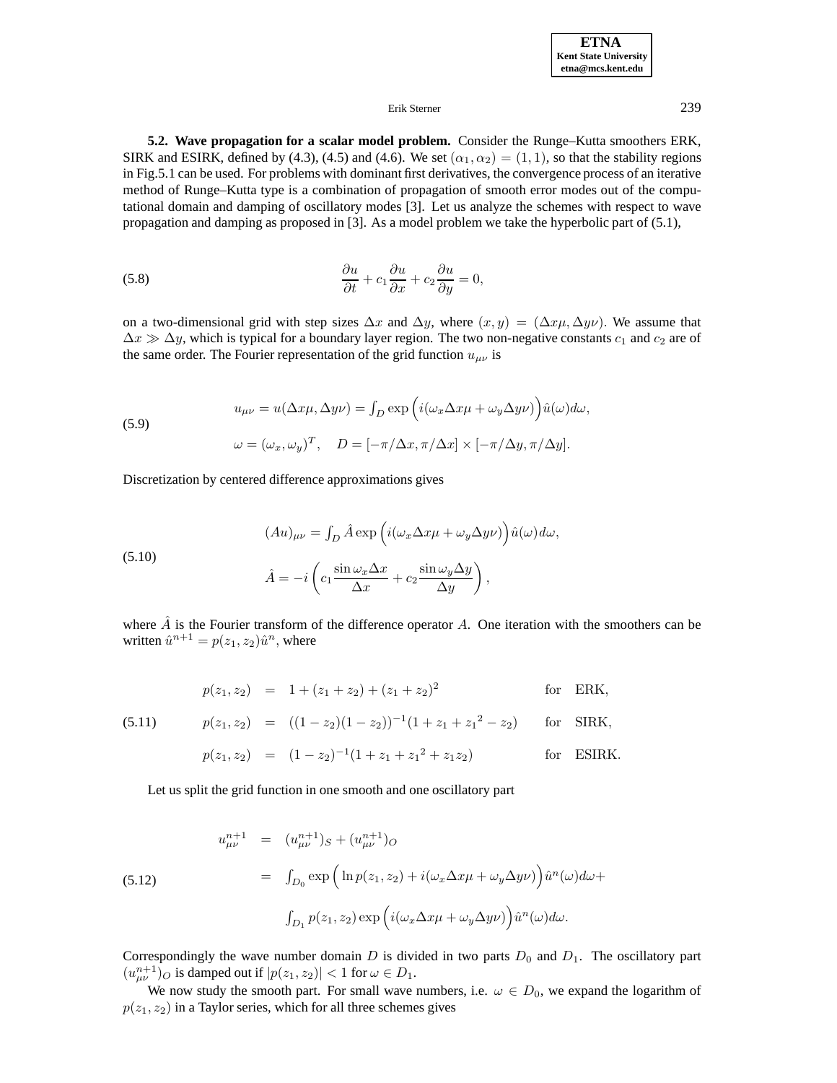**ETNA Kent State University etna@mcs.kent.edu**

## Erik Sterner 239

**5.2. Wave propagation for a scalar model problem.** Consider the Runge–Kutta smoothers ERK, SIRK and ESIRK, defined by (4.3), (4.5) and (4.6). We set  $(\alpha_1, \alpha_2) = (1, 1)$ , so that the stability regions in Fig.5.1 can be used. For problems with dominant first derivatives, the convergence process of an iterative method of Runge–Kutta type is a combination of propagation of smooth error modes out of the computational domain and damping of oscillatory modes [3]. Let us analyze the schemes with respect to wave propagation and damping as proposed in [3]. As a model problem we take the hyperbolic part of (5.1),

(5.8) 
$$
\frac{\partial u}{\partial t} + c_1 \frac{\partial u}{\partial x} + c_2 \frac{\partial u}{\partial y} = 0,
$$

on a two-dimensional grid with step sizes  $\Delta x$  and  $\Delta y$ , where  $(x, y) = (\Delta x \mu, \Delta y \nu)$ . We assume that  $\Delta x \gg \Delta y$ , which is typical for a boundary layer region. The two non-negative constants  $c_1$  and  $c_2$  are of the same order. The Fourier representation of the grid function  $u_{\mu\nu}$  is

(5.9)  

$$
u_{\mu\nu} = u(\Delta x \mu, \Delta y \nu) = \int_D \exp\left(i(\omega_x \Delta x \mu + \omega_y \Delta y \nu)\right) \hat{u}(\omega) d\omega,
$$

$$
\omega = (\omega_x, \omega_y)^T, \quad D = [-\pi/\Delta x, \pi/\Delta x] \times [-\pi/\Delta y, \pi/\Delta y].
$$

Discretization by centered difference approximations gives

(5.10)  
\n
$$
(Au)_{\mu\nu} = \int_D \hat{A} \exp \left( i(\omega_x \Delta x \mu + \omega_y \Delta y \nu) \right) \hat{u}(\omega) d\omega,
$$
\n
$$
\hat{A} = -i \left( c_1 \frac{\sin \omega_x \Delta x}{\Delta x} + c_2 \frac{\sin \omega_y \Delta y}{\Delta y} \right),
$$

where  $\hat{A}$  is the Fourier transform of the difference operator A. One iteration with the smoothers can be written  $\hat{u}^{n+1} = p(z_1, z_2)\hat{u}^n$ , where

$$
p(z_1, z_2) = 1 + (z_1 + z_2) + (z_1 + z_2)^2
$$
 for ERK,

(5.11) 
$$
p(z_1, z_2) = ((1 - z_2)(1 - z_2))^{-1}(1 + z_1 + z_1^2 - z_2)
$$
 for SIRK,  

$$
p(z_1, z_2) = (1 - z_2)^{-1}(1 + z_1 + z_1^2 + z_1 z_2)
$$
 for ESIRK.

Let us split the grid function in one smooth and one oscillatory part

(5.12)  
\n
$$
u_{\mu\nu}^{n+1} = (u_{\mu\nu}^{n+1})_S + (u_{\mu\nu}^{n+1})_O
$$
\n
$$
= \int_{D_0} \exp\left(\ln p(z_1, z_2) + i(\omega_x \Delta x \mu + \omega_y \Delta y \nu)\right) \hat{u}^n(\omega) d\omega +
$$
\n
$$
\int_{D_1} p(z_1, z_2) \exp\left(i(\omega_x \Delta x \mu + \omega_y \Delta y \nu)\right) \hat{u}^n(\omega) d\omega.
$$

Correspondingly the wave number domain  $D$  is divided in two parts  $D_0$  and  $D_1$ . The oscillatory part  $(u_{\mu\nu}^{n+1})_O$  is damped out if  $|p(z_1, z_2)| < 1$  for  $\omega \in D_1$ .

We now study the smooth part. For small wave numbers, i.e.  $\omega \in D_0$ , we expand the logarithm of  $p(z_1, z_2)$  in a Taylor series, which for all three schemes gives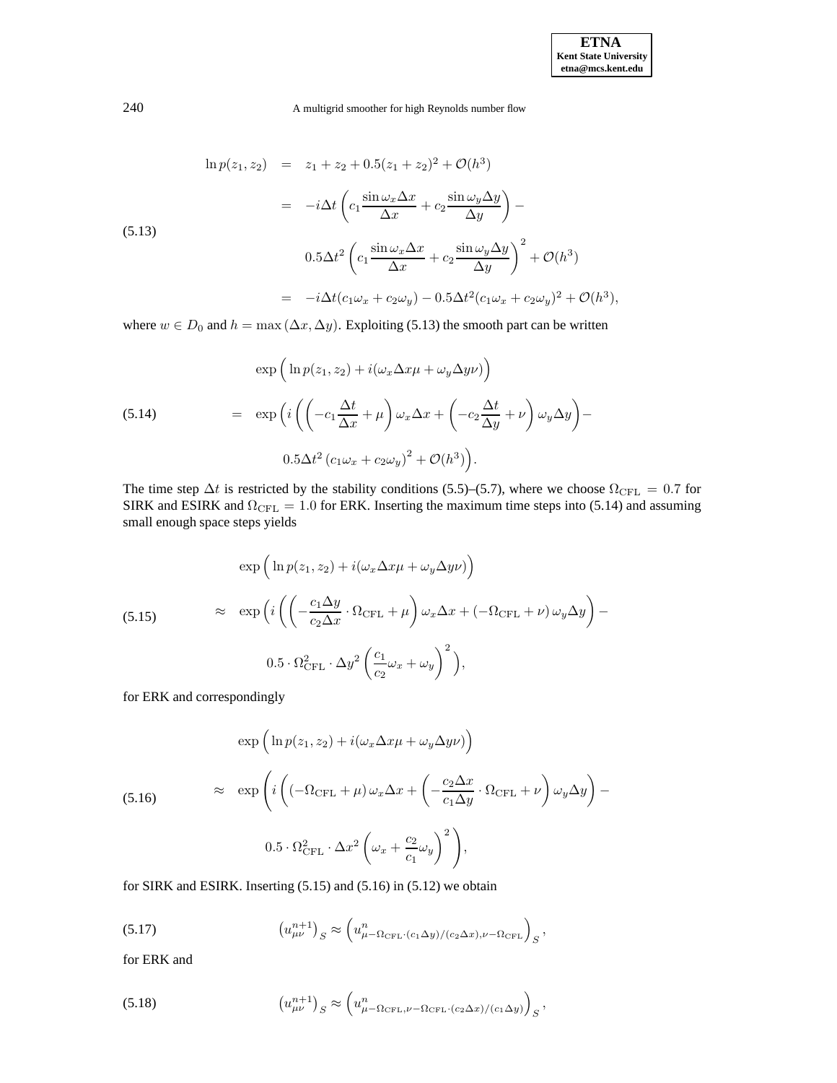$$
\ln p(z_1, z_2) = z_1 + z_2 + 0.5(z_1 + z_2)^2 + \mathcal{O}(h^3)
$$
  
\n
$$
= -i\Delta t \left( c_1 \frac{\sin \omega_x \Delta x}{\Delta x} + c_2 \frac{\sin \omega_y \Delta y}{\Delta y} \right) -
$$
  
\n(5.13)  
\n
$$
0.5\Delta t^2 \left( c_1 \frac{\sin \omega_x \Delta x}{\Delta x} + c_2 \frac{\sin \omega_y \Delta y}{\Delta y} \right)^2 + \mathcal{O}(h^3)
$$
  
\n
$$
= -i\Delta t (c_1 \omega_x + c_2 \omega_y) - 0.5\Delta t^2 (c_1 \omega_x + c_2 \omega_y)^2 + \mathcal{O}(h^3),
$$

where  $w \in D_0$  and  $h = \max(\Delta x, \Delta y)$ . Exploiting (5.13) the smooth part can be written

(5.14)  
\n
$$
\exp\left(\ln p(z_1, z_2) + i(\omega_x \Delta x \mu + \omega_y \Delta y \nu)\right)
$$
\n
$$
= \exp\left(i\left(\left(-c_1 \frac{\Delta t}{\Delta x} + \mu\right) \omega_x \Delta x + \left(-c_2 \frac{\Delta t}{\Delta y} + \nu\right) \omega_y \Delta y\right) - 0.5\Delta t^2 (c_1 \omega_x + c_2 \omega_y)^2 + \mathcal{O}(h^3)\right).
$$

The time step  $\Delta t$  is restricted by the stability conditions (5.5)–(5.7), where we choose  $\Omega_{\text{CFL}} = 0.7$  for SIRK and ESIRK and  $\Omega_{\text{CFL}} = 1.0$  for ERK. Inserting the maximum time steps into (5.14) and assuming small enough space steps yields

$$
\exp\left(\ln p(z_1, z_2) + i(\omega_x \Delta x \mu + \omega_y \Delta y \nu)\right)
$$
\n
$$
\approx \exp\left(i\left(\left(-\frac{c_1 \Delta y}{c_2 \Delta x} \cdot \Omega_{\text{CFL}} + \mu\right) \omega_x \Delta x + \left(-\Omega_{\text{CFL}} + \nu\right) \omega_y \Delta y\right) - 0.5 \cdot \Omega_{\text{CFL}}^2 \cdot \Delta y^2 \left(\frac{c_1}{c_2} \omega_x + \omega_y\right)^2\right),
$$

for ERK and correspondingly

$$
\exp\left(\ln p(z_1, z_2) + i(\omega_x \Delta x \mu + \omega_y \Delta y \nu)\right)
$$
  
(5.16) 
$$
\approx \exp\left(i\left((-\Omega_{\text{CFL}} + \mu) \omega_x \Delta x + \left(-\frac{c_2 \Delta x}{c_1 \Delta y} \cdot \Omega_{\text{CFL}} + \nu\right) \omega_y \Delta y\right) -
$$

$$
0.5 \cdot \Omega_{\text{CFL}}^2 \cdot \Delta x^2 \left(\omega_x + \frac{c_2}{c_1} \omega_y\right)^2\right),
$$

for SIRK and ESIRK. Inserting (5.15) and (5.16) in (5.12) we obtain

(5.17) 
$$
\left(u_{\mu\nu}^{n+1}\right)_S \approx \left(u_{\mu-\Omega_{\text{CFL}}\cdot\left(c_1\Delta y\right)/(c_2\Delta x),\nu-\Omega_{\text{CFL}}}\right)_S,
$$

for ERK and

(5.18) 
$$
\left(u_{\mu\nu}^{n+1}\right)_S \approx \left(u_{\mu-\Omega_{\text{CFL}},\nu-\Omega_{\text{CFL}}\cdot (c_2\Delta x)/(c_1\Delta y)}\right)_S,
$$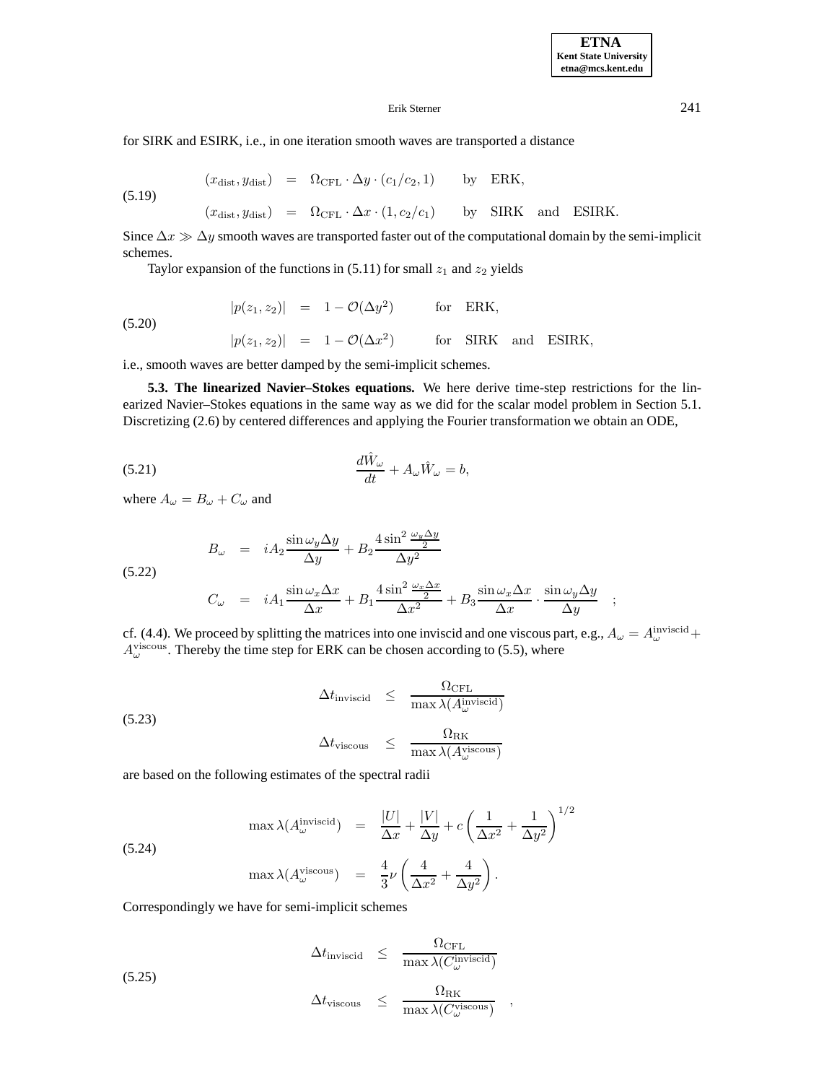$\frac{\Delta y \rightarrow y}{\Delta y}$ ;

## Erik Sterner 241

for SIRK and ESIRK, i.e., in one iteration smooth waves are transported a distance

 $(x_{\text{dist}}, y_{\text{dist}}) = \Omega_{\text{CFL}} \cdot \Delta y \cdot (c_1/c_2, 1)$  by ERK,

$$
(5.19)
$$

$$
(x_{\text{dist}}, y_{\text{dist}}) = \Omega_{\text{CFL}} \cdot \Delta x \cdot (1, c_2/c_1)
$$
 by SIRK and ESIRK.

Since  $\Delta x \gg \Delta y$  smooth waves are transported faster out of the computational domain by the semi-implicit schemes.

Taylor expansion of the functions in  $(5.11)$  for small  $z_1$  and  $z_2$  yields

(5.20) 
$$
|p(z_1, z_2)| = 1 - \mathcal{O}(\Delta y^2) \quad \text{for ERK,}
$$

$$
|p(z_1, z_2)| = 1 - \mathcal{O}(\Delta x^2) \quad \text{for SIRK and ESIRK,}
$$

i.e., smooth waves are better damped by the semi-implicit schemes.

**5.3. The linearized Navier–Stokes equations.** We here derive time-step restrictions for the linearized Navier–Stokes equations in the same way as we did for the scalar model problem in Section 5.1. Discretizing (2.6) by centered differences and applying the Fourier transformation we obtain an ODE,

(5.21) 
$$
\frac{d\hat{W}_{\omega}}{dt} + A_{\omega}\hat{W}_{\omega} = b,
$$

where  $A_{\omega} = B_{\omega} + C_{\omega}$  and

$$
B_{\omega} = iA_2 \frac{\sin \omega_y \Delta y}{\Delta y} + B_2 \frac{4 \sin^2 \frac{\omega_y \Delta y}{2}}{\Delta y^2}
$$
  
(5.22)  

$$
C_{\omega} = iA_1 \frac{\sin \omega_x \Delta x}{\Delta x} + B_1 \frac{4 \sin^2 \frac{\omega_x \Delta x}{2}}{\Delta x^2} + B_3 \frac{\sin \omega_x \Delta x}{\Delta x} \cdot \frac{\sin \omega_y \Delta y}{\Delta y}
$$

cf. (4.4). We proceed by splitting the matrices into one inviscid and one viscous part, e.g.,  $A_\omega = A_\omega^{\text{invisible}} +$  $A_{\omega}^{\text{viscous}}$ . Thereby the time step for ERK can be chosen according to (5.5), where

$$
\Delta t_{\text{invisible}} \leq \frac{\Omega_{\text{CFL}}}{\max \lambda(A_{\omega}^{\text{invisible}})}
$$
\n
$$
\Delta t_{\text{viscous}} \leq \frac{\Omega_{\text{RK}}}{\max \lambda(A_{\omega}^{\text{viscous}})}
$$

are based on the following estimates of the spectral radii

$$
\max \lambda(A_{\omega}^{\text{invisible}}) = \frac{|U|}{\Delta x} + \frac{|V|}{\Delta y} + c \left(\frac{1}{\Delta x^2} + \frac{1}{\Delta y^2}\right)^{1/2}
$$
  
(5.24)  

$$
\max \lambda(A_{\omega}^{\text{viscous}}) = \frac{4}{3}\nu\left(\frac{4}{\Delta x^2} + \frac{4}{\Delta y^2}\right).
$$

Correspondingly we have for semi-implicit schemes

$$
\Delta t_{\text{invisible}} \leq \frac{\Omega_{\text{CFL}}}{\max \lambda(C_{\omega}^{\text{invisible}})}
$$

(5.25)

$$
\Delta t_{\rm viscous} \quad \leq \quad \frac{\Omega_{\rm RK}}{\max\lambda(C_{\omega}^{\rm viscous})} \quad ,
$$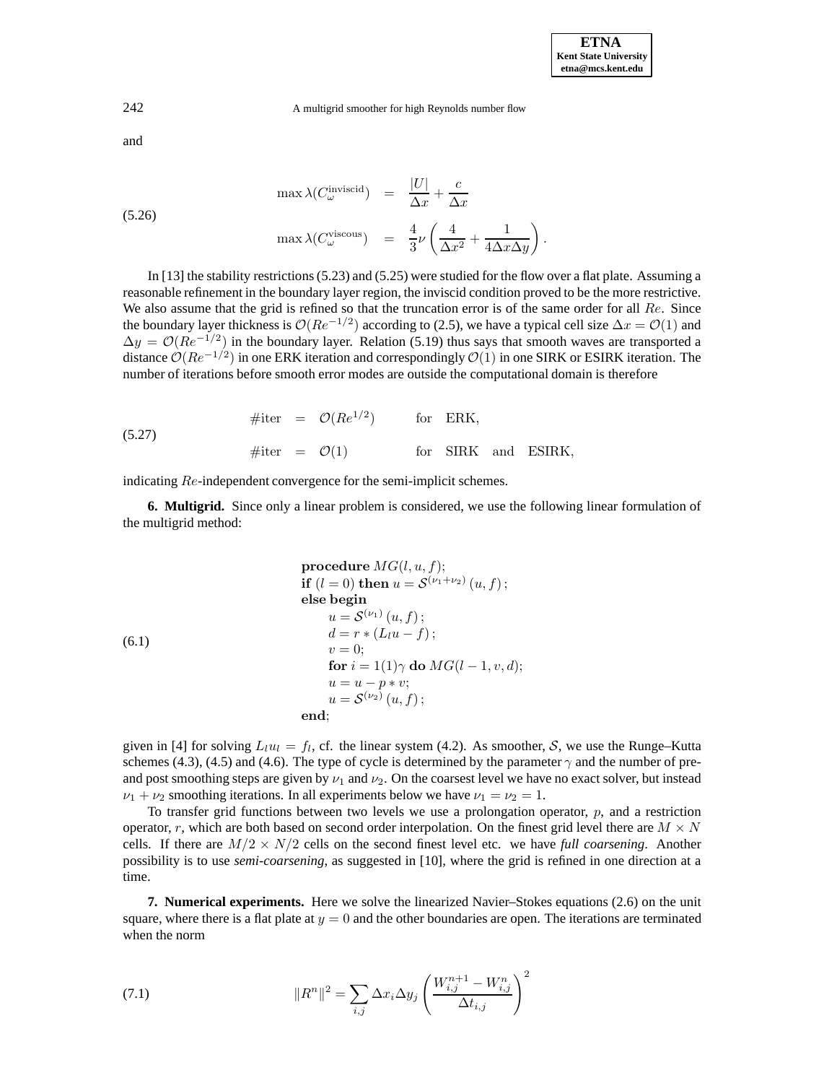**ETNA Kent State University etna@mcs.kent.edu**

242 A multigrid smoother for high Reynolds number flow

and

$$
\max \lambda(C_{\omega}^{\text{invisible}}) = \frac{|U|}{\Delta x} + \frac{c}{\Delta x}
$$
\n
$$
\max \lambda(C_{\omega}^{\text{viscous}}) = \frac{4}{3}\nu \left(\frac{4}{\Delta x^2} + \frac{1}{4\Delta x \Delta y}\right).
$$

In [13] the stability restrictions (5.23) and (5.25) were studied for the flow over a flat plate. Assuming a reasonable refinement in the boundary layer region, the inviscid condition proved to be the more restrictive. We also assume that the grid is refined so that the truncation error is of the same order for all  $Re$ . Since the boundary layer thickness is  $\mathcal{O}(Re^{-1/2})$  according to (2.5), we have a typical cell size  $\Delta x = \mathcal{O}(1)$  and  $\Delta y = \mathcal{O}(Re^{-1/2})$  in the boundary layer. Relation (5.19) thus says that smooth waves are transported a distance  $O(Re^{-1/2})$  in one ERK iteration and correspondingly  $O(1)$  in one SIRK or ESIRK iteration. The number of iterations before smooth error modes are outside the computational domain is therefore

(5.27) 
$$
\# \text{iter} = \mathcal{O}(Re^{1/2}) \qquad \text{for ERK},
$$

$$
\# \text{iter} = \mathcal{O}(1) \qquad \text{for SIRK and ESIRK},
$$

indicating Re-independent convergence for the semi-implicit schemes.

**6. Multigrid.** Since only a linear problem is considered, we use the following linear formulation of the multigrid method:

| procedure $MG(l, u, f)$ ;                           |
|-----------------------------------------------------|
| if $(l = 0)$ then $u = S^{(\nu_1 + \nu_2)}(u, f)$ ; |
| else begin                                          |
| $u = S^{(\nu_1)}(u, f)$ ;                           |
| $d = r * (L_l u - f)$ ;                             |
| $v = 0$ ;                                           |
| for $i = 1(1) \gamma$ do $MG(l - 1, v, d)$ ;\n      |
| $u = u - p * v$ ;                                   |
| $u = S^{(\nu_2)}(u, f)$ ;                           |
| end;                                                |

given in [4] for solving  $L_l u_l = f_l$ , cf. the linear system (4.2). As smoother, S, we use the Runge–Kutta schemes (4.3), (4.5) and (4.6). The type of cycle is determined by the parameter  $\gamma$  and the number of preand post smoothing steps are given by  $\nu_1$  and  $\nu_2$ . On the coarsest level we have no exact solver, but instead  $\nu_1 + \nu_2$  smoothing iterations. In all experiments below we have  $\nu_1 = \nu_2 = 1$ .

To transfer grid functions between two levels we use a prolongation operator, p, and a restriction operator, r, which are both based on second order interpolation. On the finest grid level there are  $M \times N$ cells. If there are  $M/2 \times N/2$  cells on the second finest level etc. we have *full coarsening*. Another possibility is to use *semi-coarsening*, as suggested in [10], where the grid is refined in one direction at a time.

**7. Numerical experiments.** Here we solve the linearized Navier–Stokes equations (2.6) on the unit square, where there is a flat plate at  $y = 0$  and the other boundaries are open. The iterations are terminated when the norm

(7.1) 
$$
||R^{n}||^{2} = \sum_{i,j} \Delta x_{i} \Delta y_{j} \left(\frac{W_{i,j}^{n+1} - W_{i,j}^{n}}{\Delta t_{i,j}}\right)^{2}
$$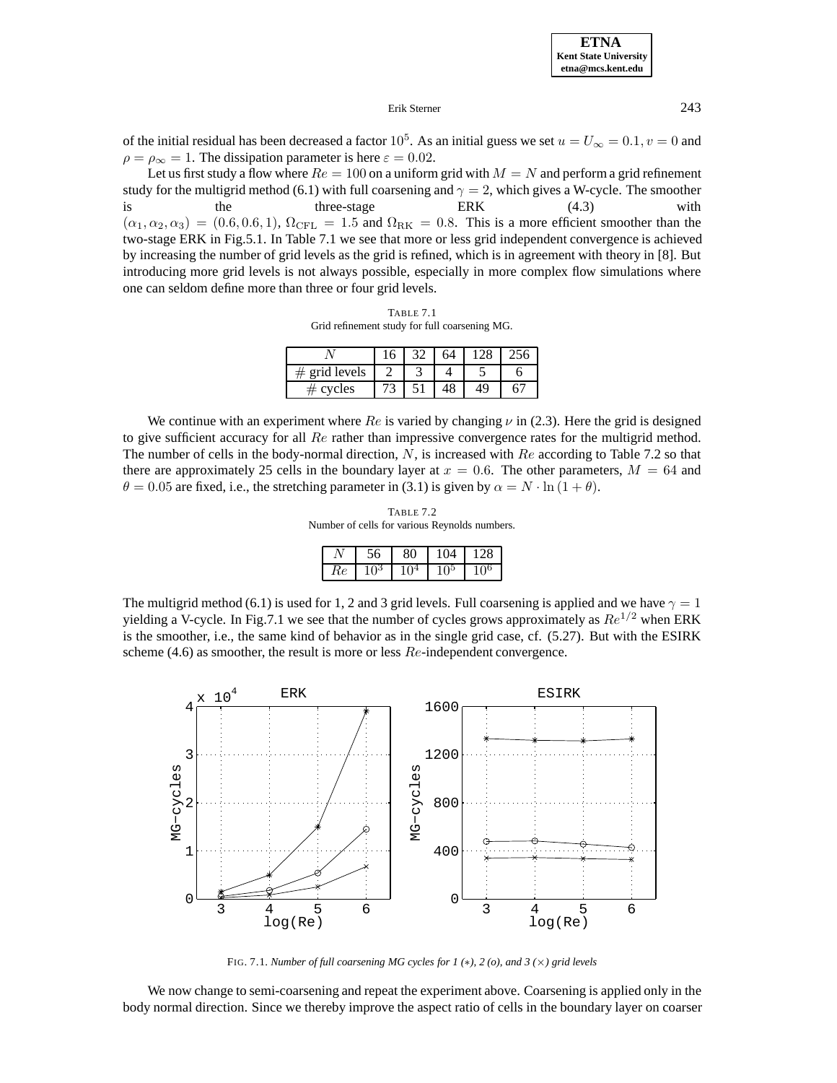**ETNA Kent State University etna@mcs.kent.edu**

### Erik Sterner 243

of the initial residual has been decreased a factor  $10^5$ . As an initial guess we set  $u = U_{\infty} = 0.1, v = 0$  and  $\rho = \rho_{\infty} = 1$ . The dissipation parameter is here  $\varepsilon = 0.02$ .

Let us first study a flow where  $Re = 100$  on a uniform grid with  $M = N$  and perform a grid refinement study for the multigrid method (6.1) with full coarsening and  $\gamma = 2$ , which gives a W-cycle. The smoother is the three-stage ERK (4.3) with  $(\alpha_1, \alpha_2, \alpha_3) = (0.6, 0.6, 1), \Omega_{\text{CFL}} = 1.5$  and  $\Omega_{\text{RK}} = 0.8$ . This is a more efficient smoother than the two-stage ERK in Fig.5.1. In Table 7.1 we see that more or less grid independent convergence is achieved by increasing the number of grid levels as the grid is refined, which is in agreement with theory in [8]. But introducing more grid levels is not always possible, especially in more complex flow simulations where one can seldom define more than three or four grid levels.

TABLE 7.1 Grid refinement study for full coarsening MG.

| grid levels |  |  |  |
|-------------|--|--|--|
| cycles      |  |  |  |

We continue with an experiment where Re is varied by changing  $\nu$  in (2.3). Here the grid is designed to give sufficient accuracy for all  $Re$  rather than impressive convergence rates for the multigrid method. The number of cells in the body-normal direction,  $N$ , is increased with  $Re$  according to Table 7.2 so that there are approximately 25 cells in the boundary layer at  $x = 0.6$ . The other parameters,  $M = 64$  and  $\theta = 0.05$  are fixed, i.e., the stretching parameter in (3.1) is given by  $\alpha = N \cdot \ln(1 + \theta)$ .

TABLE 7.2 Number of cells for various Reynolds numbers.

|    | ჂႩ         | 80     | 104  | 128      |
|----|------------|--------|------|----------|
| Re | $\theta^3$ | $10^4$ | . ი> | $10^{6}$ |

The multigrid method (6.1) is used for 1, 2 and 3 grid levels. Full coarsening is applied and we have  $\gamma = 1$ yielding a V-cycle. In Fig.7.1 we see that the number of cycles grows approximately as  $Re^{1/2}$  when ERK is the smoother, i.e., the same kind of behavior as in the single grid case, cf. (5.27). But with the ESIRK scheme (4.6) as smoother, the result is more or less  $Re$ -independent convergence.

ERK  $\times 10^{4}$ ESIRK 4 1600 1200 3  $MG-CYC1es$ MG-cycles MG−cycles MG−cycles 800 2 1 400  $\Omega$ 0 3 4 5 6 3 4 5 6 log(Re) log(Re)

FIG. 7.1. *Number of full coarsening MG cycles for 1 (*∗*), 2 (o), and 3 (*×*) grid levels*

We now change to semi-coarsening and repeat the experiment above. Coarsening is applied only in the body normal direction. Since we thereby improve the aspect ratio of cells in the boundary layer on coarser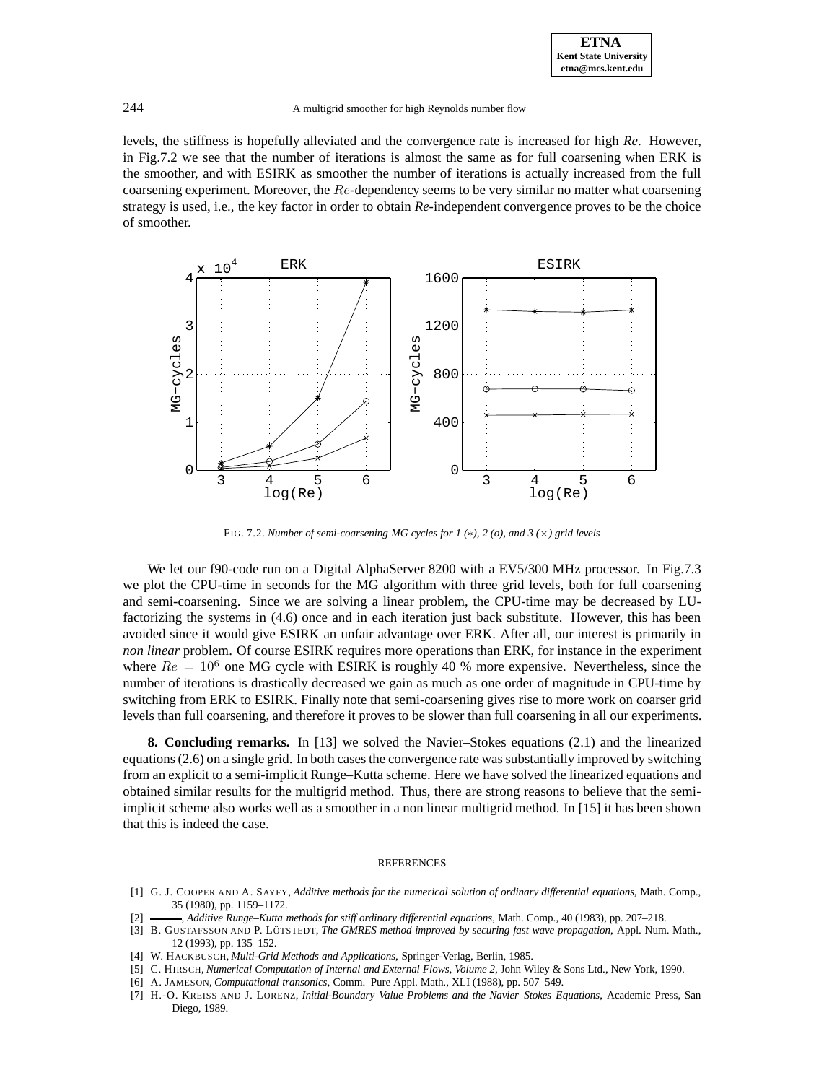levels, the stiffness is hopefully alleviated and the convergence rate is increased for high *Re*. However, in Fig.7.2 we see that the number of iterations is almost the same as for full coarsening when ERK is the smoother, and with ESIRK as smoother the number of iterations is actually increased from the full coarsening experiment. Moreover, the  $Re$ -dependency seems to be very similar no matter what coarsening strategy is used, i.e., the key factor in order to obtain *Re*-independent convergence proves to be the choice of smoother.



FIG. 7.2. *Number of semi-coarsening MG cycles for 1 (*∗*), 2 (o), and 3 (*×*) grid levels*

We let our f90-code run on a Digital AlphaServer 8200 with a EV5/300 MHz processor. In Fig.7.3 we plot the CPU-time in seconds for the MG algorithm with three grid levels, both for full coarsening and semi-coarsening. Since we are solving a linear problem, the CPU-time may be decreased by LUfactorizing the systems in (4.6) once and in each iteration just back substitute. However, this has been avoided since it would give ESIRK an unfair advantage over ERK. After all, our interest is primarily in *non linear* problem. Of course ESIRK requires more operations than ERK, for instance in the experiment where  $Re = 10^6$  one MG cycle with ESIRK is roughly 40 % more expensive. Nevertheless, since the number of iterations is drastically decreased we gain as much as one order of magnitude in CPU-time by switching from ERK to ESIRK. Finally note that semi-coarsening gives rise to more work on coarser grid levels than full coarsening, and therefore it proves to be slower than full coarsening in all our experiments.

**8. Concluding remarks.** In [13] we solved the Navier–Stokes equations (2.1) and the linearized equations (2.6) on a single grid. In both cases the convergence rate was substantially improved by switching from an explicit to a semi-implicit Runge–Kutta scheme. Here we have solved the linearized equations and obtained similar results for the multigrid method. Thus, there are strong reasons to believe that the semiimplicit scheme also works well as a smoother in a non linear multigrid method. In [15] it has been shown that this is indeed the case.

#### **REFERENCES**

- [1] G. J. COOPER AND A. SAYFY, *Additive methods for the numerical solution of ordinary differential equations*, Math. Comp., 35 (1980), pp. 1159–1172.
- [2] , *Additive Runge–Kutta methods for stiff ordinary differential equations*, Math. Comp., 40 (1983), pp. 207–218.
- [3] B. GUSTAFSSON AND P. LÖTSTEDT, *The GMRES method improved by securing fast wave propagation*, Appl. Num. Math., 12 (1993), pp. 135–152.
- [4] W. HACKBUSCH, *Multi-Grid Methods and Applications*, Springer-Verlag, Berlin, 1985.
- [5] C. HIRSCH, *Numerical Computation of Internal and External Flows, Volume 2*, John Wiley & Sons Ltd., New York, 1990.
- [6] A. JAMESON, *Computational transonics*, Comm. Pure Appl. Math., XLI (1988), pp. 507–549.
- [7] H.-O. KREISS AND J. LORENZ, *Initial-Boundary Value Problems and the Navier–Stokes Equations*, Academic Press, San Diego, 1989.